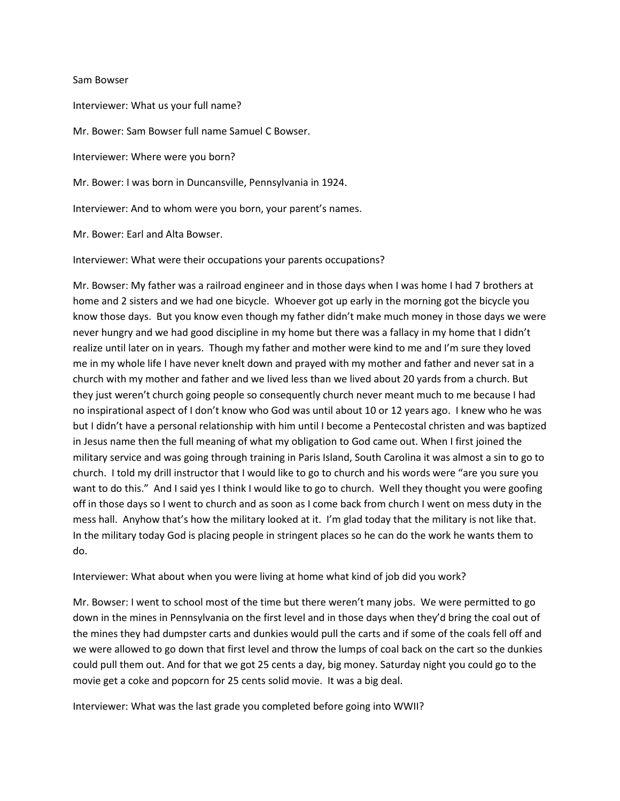## Sam Bowser

Interviewer: What us your full name? Mr. Bower: Sam Bowser full name Samuel C Bowser. Interviewer: Where were you born? Mr. Bower: I was born in Duncansville, Pennsylvania in 1924. Interviewer: And to whom were you born, your parent's names.

Mr. Bower: Earl and Alta Bowser.

Interviewer: What were their occupations your parents occupations?

Mr. Bowser: My father was a railroad engineer and in those days when I was home I had 7 brothers at home and 2 sisters and we had one bicycle. Whoever got up early in the morning got the bicycle you know those days. But you know even though my father didn't make much money in those days we were never hungry and we had good discipline in my home but there was a fallacy in my home that I didn't realize until later on in years. Though my father and mother were kind to me and I'm sure they loved me in my whole life I have never knelt down and prayed with my mother and father and never sat in a church with my mother and father and we lived less than we lived about 20 yards from a church. But they just weren't church going people so consequently church never meant much to me because I had no inspirational aspect of I don't know who God was until about 10 or 12 years ago. I knew who he was but I didn't have a personal relationship with him until I become a Pentecostal christen and was baptized in Jesus name then the full meaning of what my obligation to God came out. When I first joined the military service and was going through training in Paris Island, South Carolina it was almost a sin to go to church. I told my drill instructor that I would like to go to church and his words were "are you sure you want to do this." And I said yes I think I would like to go to church. Well they thought you were goofing off in those days so I went to church and as soon as I come back from church I went on mess duty in the mess hall. Anyhow that's how the military looked at it. I'm glad today that the military is not like that. In the military today God is placing people in stringent places so he can do the work he wants them to do.

Interviewer: What about when you were living at home what kind of job did you work?

Mr. Bowser: I went to school most of the time but there weren't many jobs. We were permitted to go down in the mines in Pennsylvania on the first level and in those days when they'd bring the coal out of the mines they had dumpster carts and dunkies would pull the carts and if some of the coals fell off and we were allowed to go down that first level and throw the lumps of coal back on the cart so the dunkies could pull them out. And for that we got 25 cents a day, big money. Saturday night you could go to the movie get a coke and popcorn for 25 cents solid movie. It was a big deal.

Interviewer: What was the last grade you completed before going into WWII?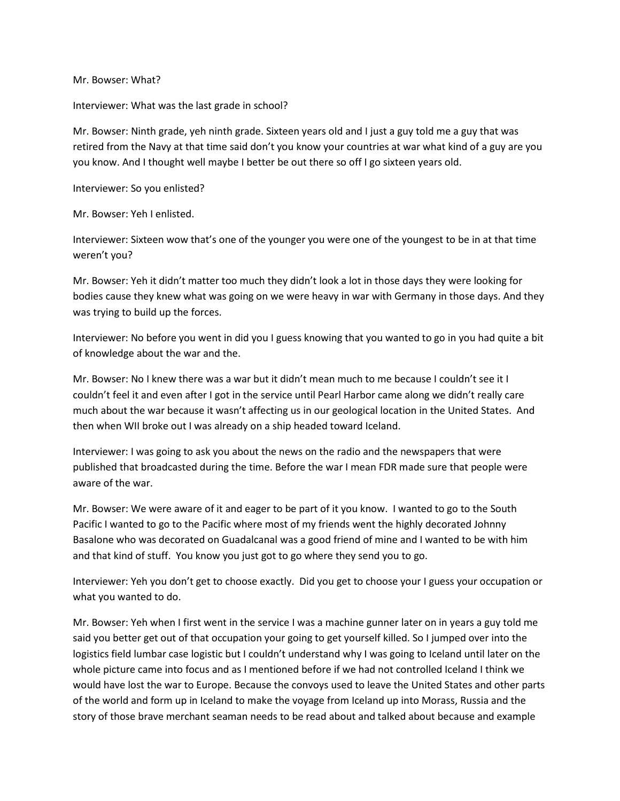Mr. Bowser: What?

Interviewer: What was the last grade in school?

Mr. Bowser: Ninth grade, yeh ninth grade. Sixteen years old and I just a guy told me a guy that was retired from the Navy at that time said don't you know your countries at war what kind of a guy are you you know. And I thought well maybe I better be out there so off I go sixteen years old.

Interviewer: So you enlisted?

Mr. Bowser: Yeh I enlisted.

Interviewer: Sixteen wow that's one of the younger you were one of the youngest to be in at that time weren't you?

Mr. Bowser: Yeh it didn't matter too much they didn't look a lot in those days they were looking for bodies cause they knew what was going on we were heavy in war with Germany in those days. And they was trying to build up the forces.

Interviewer: No before you went in did you I guess knowing that you wanted to go in you had quite a bit of knowledge about the war and the.

Mr. Bowser: No I knew there was a war but it didn't mean much to me because I couldn't see it I couldn't feel it and even after I got in the service until Pearl Harbor came along we didn't really care much about the war because it wasn't affecting us in our geological location in the United States. And then when WII broke out I was already on a ship headed toward Iceland.

Interviewer: I was going to ask you about the news on the radio and the newspapers that were published that broadcasted during the time. Before the war I mean FDR made sure that people were aware of the war.

Mr. Bowser: We were aware of it and eager to be part of it you know. I wanted to go to the South Pacific I wanted to go to the Pacific where most of my friends went the highly decorated Johnny Basalone who was decorated on Guadalcanal was a good friend of mine and I wanted to be with him and that kind of stuff. You know you just got to go where they send you to go.

Interviewer: Yeh you don't get to choose exactly. Did you get to choose your I guess your occupation or what you wanted to do.

Mr. Bowser: Yeh when I first went in the service I was a machine gunner later on in years a guy told me said you better get out of that occupation your going to get yourself killed. So I jumped over into the logistics field lumbar case logistic but I couldn't understand why I was going to Iceland until later on the whole picture came into focus and as I mentioned before if we had not controlled Iceland I think we would have lost the war to Europe. Because the convoys used to leave the United States and other parts of the world and form up in Iceland to make the voyage from Iceland up into Morass, Russia and the story of those brave merchant seaman needs to be read about and talked about because and example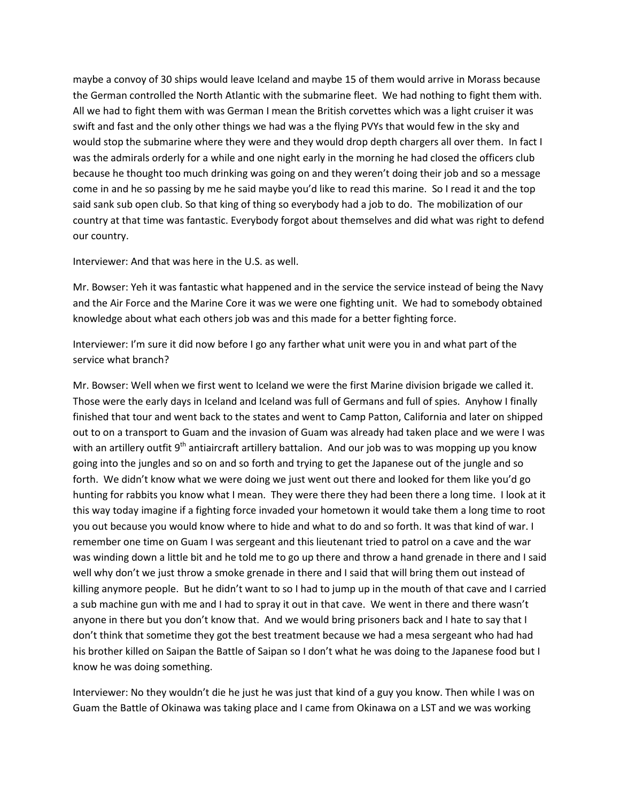maybe a convoy of 30 ships would leave Iceland and maybe 15 of them would arrive in Morass because the German controlled the North Atlantic with the submarine fleet. We had nothing to fight them with. All we had to fight them with was German I mean the British corvettes which was a light cruiser it was swift and fast and the only other things we had was a the flying PVYs that would few in the sky and would stop the submarine where they were and they would drop depth chargers all over them. In fact I was the admirals orderly for a while and one night early in the morning he had closed the officers club because he thought too much drinking was going on and they weren't doing their job and so a message come in and he so passing by me he said maybe you'd like to read this marine. So I read it and the top said sank sub open club. So that king of thing so everybody had a job to do. The mobilization of our country at that time was fantastic. Everybody forgot about themselves and did what was right to defend our country.

## Interviewer: And that was here in the U.S. as well.

Mr. Bowser: Yeh it was fantastic what happened and in the service the service instead of being the Navy and the Air Force and the Marine Core it was we were one fighting unit. We had to somebody obtained knowledge about what each others job was and this made for a better fighting force.

Interviewer: I'm sure it did now before I go any farther what unit were you in and what part of the service what branch?

Mr. Bowser: Well when we first went to Iceland we were the first Marine division brigade we called it. Those were the early days in Iceland and Iceland was full of Germans and full of spies. Anyhow I finally finished that tour and went back to the states and went to Camp Patton, California and later on shipped out to on a transport to Guam and the invasion of Guam was already had taken place and we were I was with an artillery outfit 9<sup>th</sup> antiaircraft artillery battalion. And our job was to was mopping up you know going into the jungles and so on and so forth and trying to get the Japanese out of the jungle and so forth. We didn't know what we were doing we just went out there and looked for them like you'd go hunting for rabbits you know what I mean. They were there they had been there a long time. I look at it this way today imagine if a fighting force invaded your hometown it would take them a long time to root you out because you would know where to hide and what to do and so forth. It was that kind of war. I remember one time on Guam I was sergeant and this lieutenant tried to patrol on a cave and the war was winding down a little bit and he told me to go up there and throw a hand grenade in there and I said well why don't we just throw a smoke grenade in there and I said that will bring them out instead of killing anymore people. But he didn't want to so I had to jump up in the mouth of that cave and I carried a sub machine gun with me and I had to spray it out in that cave. We went in there and there wasn't anyone in there but you don't know that. And we would bring prisoners back and I hate to say that I don't think that sometime they got the best treatment because we had a mesa sergeant who had had his brother killed on Saipan the Battle of Saipan so I don't what he was doing to the Japanese food but I know he was doing something.

Interviewer: No they wouldn't die he just he was just that kind of a guy you know. Then while I was on Guam the Battle of Okinawa was taking place and I came from Okinawa on a LST and we was working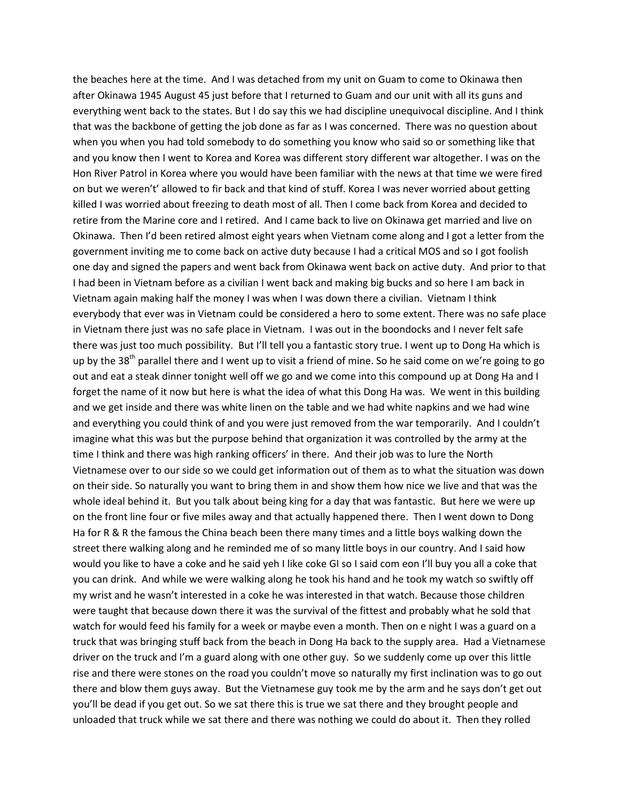the beaches here at the time. And I was detached from my unit on Guam to come to Okinawa then after Okinawa 1945 August 45 just before that I returned to Guam and our unit with all its guns and everything went back to the states. But I do say this we had discipline unequivocal discipline. And I think that was the backbone of getting the job done as far as I was concerned. There was no question about when you when you had told somebody to do something you know who said so or something like that and you know then I went to Korea and Korea was different story different war altogether. I was on the Hon River Patrol in Korea where you would have been familiar with the news at that time we were fired on but we weren't' allowed to fir back and that kind of stuff. Korea I was never worried about getting killed I was worried about freezing to death most of all. Then I come back from Korea and decided to retire from the Marine core and I retired. And I came back to live on Okinawa get married and live on Okinawa. Then I'd been retired almost eight years when Vietnam come along and I got a letter from the government inviting me to come back on active duty because I had a critical MOS and so I got foolish one day and signed the papers and went back from Okinawa went back on active duty. And prior to that I had been in Vietnam before as a civilian I went back and making big bucks and so here I am back in Vietnam again making half the money I was when I was down there a civilian. Vietnam I think everybody that ever was in Vietnam could be considered a hero to some extent. There was no safe place in Vietnam there just was no safe place in Vietnam. I was out in the boondocks and I never felt safe there was just too much possibility. But I'll tell you a fantastic story true. I went up to Dong Ha which is up by the 38<sup>th</sup> parallel there and I went up to visit a friend of mine. So he said come on we're going to go out and eat a steak dinner tonight well off we go and we come into this compound up at Dong Ha and I forget the name of it now but here is what the idea of what this Dong Ha was. We went in this building and we get inside and there was white linen on the table and we had white napkins and we had wine and everything you could think of and you were just removed from the war temporarily. And I couldn't imagine what this was but the purpose behind that organization it was controlled by the army at the time I think and there was high ranking officers' in there. And their job was to lure the North Vietnamese over to our side so we could get information out of them as to what the situation was down on their side. So naturally you want to bring them in and show them how nice we live and that was the whole ideal behind it. But you talk about being king for a day that was fantastic. But here we were up on the front line four or five miles away and that actually happened there. Then I went down to Dong Ha for R & R the famous the China beach been there many times and a little boys walking down the street there walking along and he reminded me of so many little boys in our country. And I said how would you like to have a coke and he said yeh I like coke GI so I said com eon I'll buy you all a coke that you can drink. And while we were walking along he took his hand and he took my watch so swiftly off my wrist and he wasn't interested in a coke he was interested in that watch. Because those children were taught that because down there it was the survival of the fittest and probably what he sold that watch for would feed his family for a week or maybe even a month. Then on e night I was a guard on a truck that was bringing stuff back from the beach in Dong Ha back to the supply area. Had a Vietnamese driver on the truck and I'm a guard along with one other guy. So we suddenly come up over this little rise and there were stones on the road you couldn't move so naturally my first inclination was to go out there and blow them guys away. But the Vietnamese guy took me by the arm and he says don't get out you'll be dead if you get out. So we sat there this is true we sat there and they brought people and unloaded that truck while we sat there and there was nothing we could do about it. Then they rolled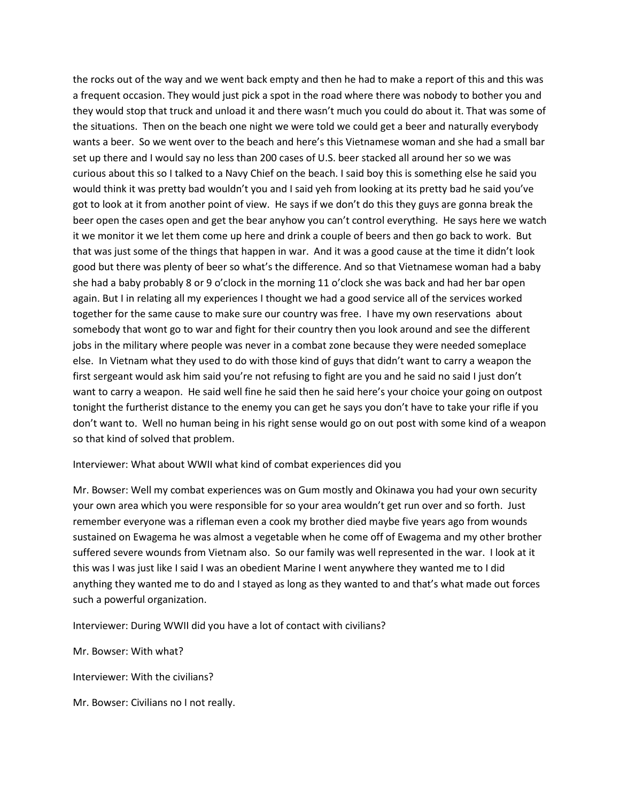the rocks out of the way and we went back empty and then he had to make a report of this and this was a frequent occasion. They would just pick a spot in the road where there was nobody to bother you and they would stop that truck and unload it and there wasn't much you could do about it. That was some of the situations. Then on the beach one night we were told we could get a beer and naturally everybody wants a beer. So we went over to the beach and here's this Vietnamese woman and she had a small bar set up there and I would say no less than 200 cases of U.S. beer stacked all around her so we was curious about this so I talked to a Navy Chief on the beach. I said boy this is something else he said you would think it was pretty bad wouldn't you and I said yeh from looking at its pretty bad he said you've got to look at it from another point of view. He says if we don't do this they guys are gonna break the beer open the cases open and get the bear anyhow you can't control everything. He says here we watch it we monitor it we let them come up here and drink a couple of beers and then go back to work. But that was just some of the things that happen in war. And it was a good cause at the time it didn't look good but there was plenty of beer so what's the difference. And so that Vietnamese woman had a baby she had a baby probably 8 or 9 o'clock in the morning 11 o'clock she was back and had her bar open again. But I in relating all my experiences I thought we had a good service all of the services worked together for the same cause to make sure our country was free. I have my own reservations about somebody that wont go to war and fight for their country then you look around and see the different jobs in the military where people was never in a combat zone because they were needed someplace else. In Vietnam what they used to do with those kind of guys that didn't want to carry a weapon the first sergeant would ask him said you're not refusing to fight are you and he said no said I just don't want to carry a weapon. He said well fine he said then he said here's your choice your going on outpost tonight the furtherist distance to the enemy you can get he says you don't have to take your rifle if you don't want to. Well no human being in his right sense would go on out post with some kind of a weapon so that kind of solved that problem.

Interviewer: What about WWII what kind of combat experiences did you

Mr. Bowser: Well my combat experiences was on Gum mostly and Okinawa you had your own security your own area which you were responsible for so your area wouldn't get run over and so forth. Just remember everyone was a rifleman even a cook my brother died maybe five years ago from wounds sustained on Ewagema he was almost a vegetable when he come off of Ewagema and my other brother suffered severe wounds from Vietnam also. So our family was well represented in the war. I look at it this was I was just like I said I was an obedient Marine I went anywhere they wanted me to I did anything they wanted me to do and I stayed as long as they wanted to and that's what made out forces such a powerful organization.

Interviewer: During WWII did you have a lot of contact with civilians?

Mr. Bowser: With what?

Interviewer: With the civilians?

Mr. Bowser: Civilians no I not really.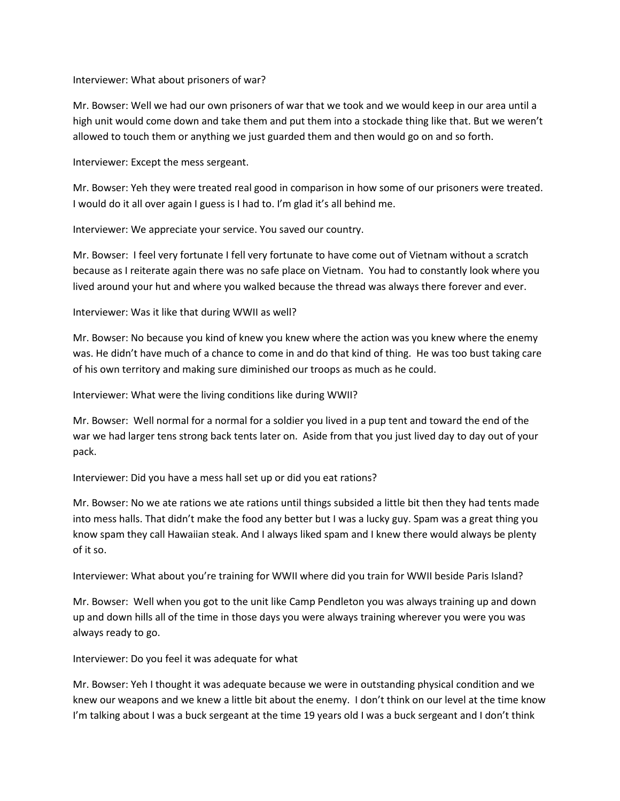Interviewer: What about prisoners of war?

Mr. Bowser: Well we had our own prisoners of war that we took and we would keep in our area until a high unit would come down and take them and put them into a stockade thing like that. But we weren't allowed to touch them or anything we just guarded them and then would go on and so forth.

Interviewer: Except the mess sergeant.

Mr. Bowser: Yeh they were treated real good in comparison in how some of our prisoners were treated. I would do it all over again I guess is I had to. I'm glad it's all behind me.

Interviewer: We appreciate your service. You saved our country.

Mr. Bowser: I feel very fortunate I fell very fortunate to have come out of Vietnam without a scratch because as I reiterate again there was no safe place on Vietnam. You had to constantly look where you lived around your hut and where you walked because the thread was always there forever and ever.

Interviewer: Was it like that during WWII as well?

Mr. Bowser: No because you kind of knew you knew where the action was you knew where the enemy was. He didn't have much of a chance to come in and do that kind of thing. He was too bust taking care of his own territory and making sure diminished our troops as much as he could.

Interviewer: What were the living conditions like during WWII?

Mr. Bowser: Well normal for a normal for a soldier you lived in a pup tent and toward the end of the war we had larger tens strong back tents later on. Aside from that you just lived day to day out of your pack.

Interviewer: Did you have a mess hall set up or did you eat rations?

Mr. Bowser: No we ate rations we ate rations until things subsided a little bit then they had tents made into mess halls. That didn't make the food any better but I was a lucky guy. Spam was a great thing you know spam they call Hawaiian steak. And I always liked spam and I knew there would always be plenty of it so.

Interviewer: What about you're training for WWII where did you train for WWII beside Paris Island?

Mr. Bowser: Well when you got to the unit like Camp Pendleton you was always training up and down up and down hills all of the time in those days you were always training wherever you were you was always ready to go.

Interviewer: Do you feel it was adequate for what

Mr. Bowser: Yeh I thought it was adequate because we were in outstanding physical condition and we knew our weapons and we knew a little bit about the enemy. I don't think on our level at the time know I'm talking about I was a buck sergeant at the time 19 years old I was a buck sergeant and I don't think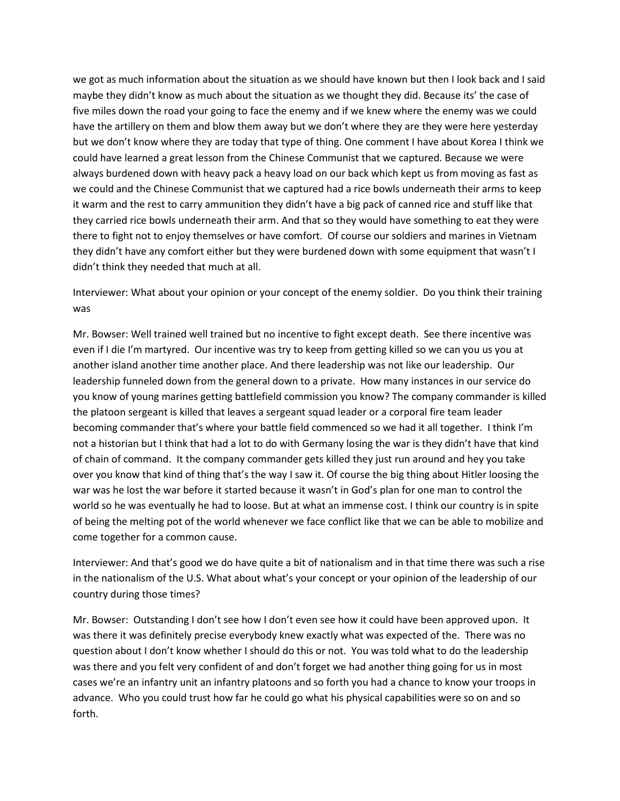we got as much information about the situation as we should have known but then I look back and I said maybe they didn't know as much about the situation as we thought they did. Because its' the case of five miles down the road your going to face the enemy and if we knew where the enemy was we could have the artillery on them and blow them away but we don't where they are they were here yesterday but we don't know where they are today that type of thing. One comment I have about Korea I think we could have learned a great lesson from the Chinese Communist that we captured. Because we were always burdened down with heavy pack a heavy load on our back which kept us from moving as fast as we could and the Chinese Communist that we captured had a rice bowls underneath their arms to keep it warm and the rest to carry ammunition they didn't have a big pack of canned rice and stuff like that they carried rice bowls underneath their arm. And that so they would have something to eat they were there to fight not to enjoy themselves or have comfort. Of course our soldiers and marines in Vietnam they didn't have any comfort either but they were burdened down with some equipment that wasn't I didn't think they needed that much at all.

Interviewer: What about your opinion or your concept of the enemy soldier. Do you think their training was

Mr. Bowser: Well trained well trained but no incentive to fight except death. See there incentive was even if I die I'm martyred. Our incentive was try to keep from getting killed so we can you us you at another island another time another place. And there leadership was not like our leadership. Our leadership funneled down from the general down to a private. How many instances in our service do you know of young marines getting battlefield commission you know? The company commander is killed the platoon sergeant is killed that leaves a sergeant squad leader or a corporal fire team leader becoming commander that's where your battle field commenced so we had it all together. I think I'm not a historian but I think that had a lot to do with Germany losing the war is they didn't have that kind of chain of command. It the company commander gets killed they just run around and hey you take over you know that kind of thing that's the way I saw it. Of course the big thing about Hitler loosing the war was he lost the war before it started because it wasn't in God's plan for one man to control the world so he was eventually he had to loose. But at what an immense cost. I think our country is in spite of being the melting pot of the world whenever we face conflict like that we can be able to mobilize and come together for a common cause.

Interviewer: And that's good we do have quite a bit of nationalism and in that time there was such a rise in the nationalism of the U.S. What about what's your concept or your opinion of the leadership of our country during those times?

Mr. Bowser: Outstanding I don't see how I don't even see how it could have been approved upon. It was there it was definitely precise everybody knew exactly what was expected of the. There was no question about I don't know whether I should do this or not. You was told what to do the leadership was there and you felt very confident of and don't forget we had another thing going for us in most cases we're an infantry unit an infantry platoons and so forth you had a chance to know your troops in advance. Who you could trust how far he could go what his physical capabilities were so on and so forth.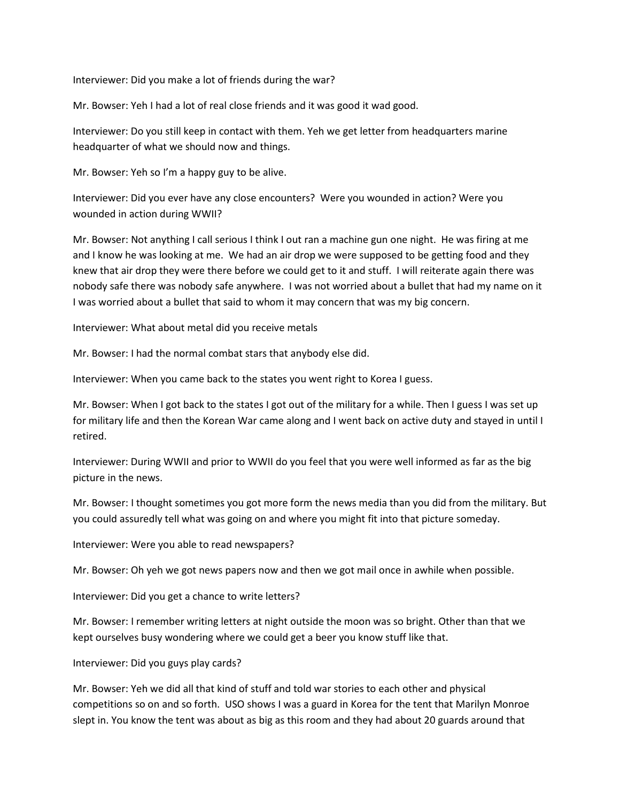Interviewer: Did you make a lot of friends during the war?

Mr. Bowser: Yeh I had a lot of real close friends and it was good it wad good.

Interviewer: Do you still keep in contact with them. Yeh we get letter from headquarters marine headquarter of what we should now and things.

Mr. Bowser: Yeh so I'm a happy guy to be alive.

Interviewer: Did you ever have any close encounters? Were you wounded in action? Were you wounded in action during WWII?

Mr. Bowser: Not anything I call serious I think I out ran a machine gun one night. He was firing at me and I know he was looking at me. We had an air drop we were supposed to be getting food and they knew that air drop they were there before we could get to it and stuff. I will reiterate again there was nobody safe there was nobody safe anywhere. I was not worried about a bullet that had my name on it I was worried about a bullet that said to whom it may concern that was my big concern.

Interviewer: What about metal did you receive metals

Mr. Bowser: I had the normal combat stars that anybody else did.

Interviewer: When you came back to the states you went right to Korea I guess.

Mr. Bowser: When I got back to the states I got out of the military for a while. Then I guess I was set up for military life and then the Korean War came along and I went back on active duty and stayed in until I retired.

Interviewer: During WWII and prior to WWII do you feel that you were well informed as far as the big picture in the news.

Mr. Bowser: I thought sometimes you got more form the news media than you did from the military. But you could assuredly tell what was going on and where you might fit into that picture someday.

Interviewer: Were you able to read newspapers?

Mr. Bowser: Oh yeh we got news papers now and then we got mail once in awhile when possible.

Interviewer: Did you get a chance to write letters?

Mr. Bowser: I remember writing letters at night outside the moon was so bright. Other than that we kept ourselves busy wondering where we could get a beer you know stuff like that.

Interviewer: Did you guys play cards?

Mr. Bowser: Yeh we did all that kind of stuff and told war stories to each other and physical competitions so on and so forth. USO shows I was a guard in Korea for the tent that Marilyn Monroe slept in. You know the tent was about as big as this room and they had about 20 guards around that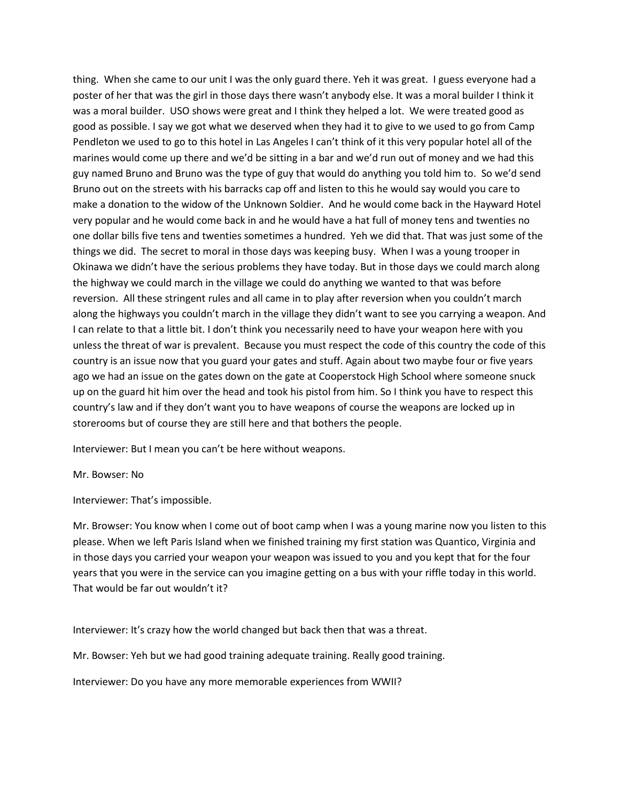thing. When she came to our unit I was the only guard there. Yeh it was great. I guess everyone had a poster of her that was the girl in those days there wasn't anybody else. It was a moral builder I think it was a moral builder. USO shows were great and I think they helped a lot. We were treated good as good as possible. I say we got what we deserved when they had it to give to we used to go from Camp Pendleton we used to go to this hotel in Las Angeles I can't think of it this very popular hotel all of the marines would come up there and we'd be sitting in a bar and we'd run out of money and we had this guy named Bruno and Bruno was the type of guy that would do anything you told him to. So we'd send Bruno out on the streets with his barracks cap off and listen to this he would say would you care to make a donation to the widow of the Unknown Soldier. And he would come back in the Hayward Hotel very popular and he would come back in and he would have a hat full of money tens and twenties no one dollar bills five tens and twenties sometimes a hundred. Yeh we did that. That was just some of the things we did. The secret to moral in those days was keeping busy. When I was a young trooper in Okinawa we didn't have the serious problems they have today. But in those days we could march along the highway we could march in the village we could do anything we wanted to that was before reversion. All these stringent rules and all came in to play after reversion when you couldn't march along the highways you couldn't march in the village they didn't want to see you carrying a weapon. And I can relate to that a little bit. I don't think you necessarily need to have your weapon here with you unless the threat of war is prevalent. Because you must respect the code of this country the code of this country is an issue now that you guard your gates and stuff. Again about two maybe four or five years ago we had an issue on the gates down on the gate at Cooperstock High School where someone snuck up on the guard hit him over the head and took his pistol from him. So I think you have to respect this country's law and if they don't want you to have weapons of course the weapons are locked up in storerooms but of course they are still here and that bothers the people.

Interviewer: But I mean you can't be here without weapons.

Mr. Bowser: No

Interviewer: That's impossible.

Mr. Browser: You know when I come out of boot camp when I was a young marine now you listen to this please. When we left Paris Island when we finished training my first station was Quantico, Virginia and in those days you carried your weapon your weapon was issued to you and you kept that for the four years that you were in the service can you imagine getting on a bus with your riffle today in this world. That would be far out wouldn't it?

Interviewer: It's crazy how the world changed but back then that was a threat.

Mr. Bowser: Yeh but we had good training adequate training. Really good training.

Interviewer: Do you have any more memorable experiences from WWII?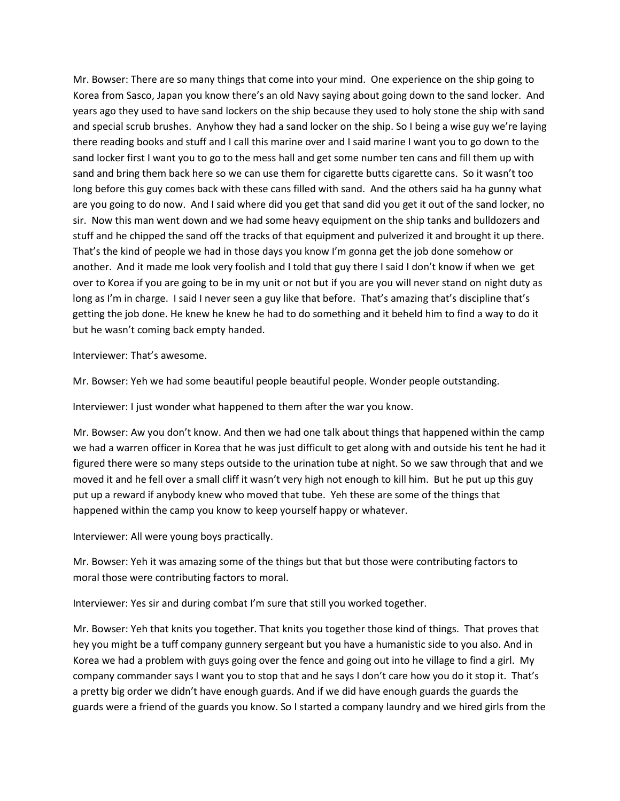Mr. Bowser: There are so many things that come into your mind. One experience on the ship going to Korea from Sasco, Japan you know there's an old Navy saying about going down to the sand locker. And years ago they used to have sand lockers on the ship because they used to holy stone the ship with sand and special scrub brushes. Anyhow they had a sand locker on the ship. So I being a wise guy we're laying there reading books and stuff and I call this marine over and I said marine I want you to go down to the sand locker first I want you to go to the mess hall and get some number ten cans and fill them up with sand and bring them back here so we can use them for cigarette butts cigarette cans. So it wasn't too long before this guy comes back with these cans filled with sand. And the others said ha ha gunny what are you going to do now. And I said where did you get that sand did you get it out of the sand locker, no sir. Now this man went down and we had some heavy equipment on the ship tanks and bulldozers and stuff and he chipped the sand off the tracks of that equipment and pulverized it and brought it up there. That's the kind of people we had in those days you know I'm gonna get the job done somehow or another. And it made me look very foolish and I told that guy there I said I don't know if when we get over to Korea if you are going to be in my unit or not but if you are you will never stand on night duty as long as I'm in charge. I said I never seen a guy like that before. That's amazing that's discipline that's getting the job done. He knew he knew he had to do something and it beheld him to find a way to do it but he wasn't coming back empty handed.

Interviewer: That's awesome.

Mr. Bowser: Yeh we had some beautiful people beautiful people. Wonder people outstanding.

Interviewer: I just wonder what happened to them after the war you know.

Mr. Bowser: Aw you don't know. And then we had one talk about things that happened within the camp we had a warren officer in Korea that he was just difficult to get along with and outside his tent he had it figured there were so many steps outside to the urination tube at night. So we saw through that and we moved it and he fell over a small cliff it wasn't very high not enough to kill him. But he put up this guy put up a reward if anybody knew who moved that tube. Yeh these are some of the things that happened within the camp you know to keep yourself happy or whatever.

Interviewer: All were young boys practically.

Mr. Bowser: Yeh it was amazing some of the things but that but those were contributing factors to moral those were contributing factors to moral.

Interviewer: Yes sir and during combat I'm sure that still you worked together.

Mr. Bowser: Yeh that knits you together. That knits you together those kind of things. That proves that hey you might be a tuff company gunnery sergeant but you have a humanistic side to you also. And in Korea we had a problem with guys going over the fence and going out into he village to find a girl. My company commander says I want you to stop that and he says I don't care how you do it stop it. That's a pretty big order we didn't have enough guards. And if we did have enough guards the guards the guards were a friend of the guards you know. So I started a company laundry and we hired girls from the